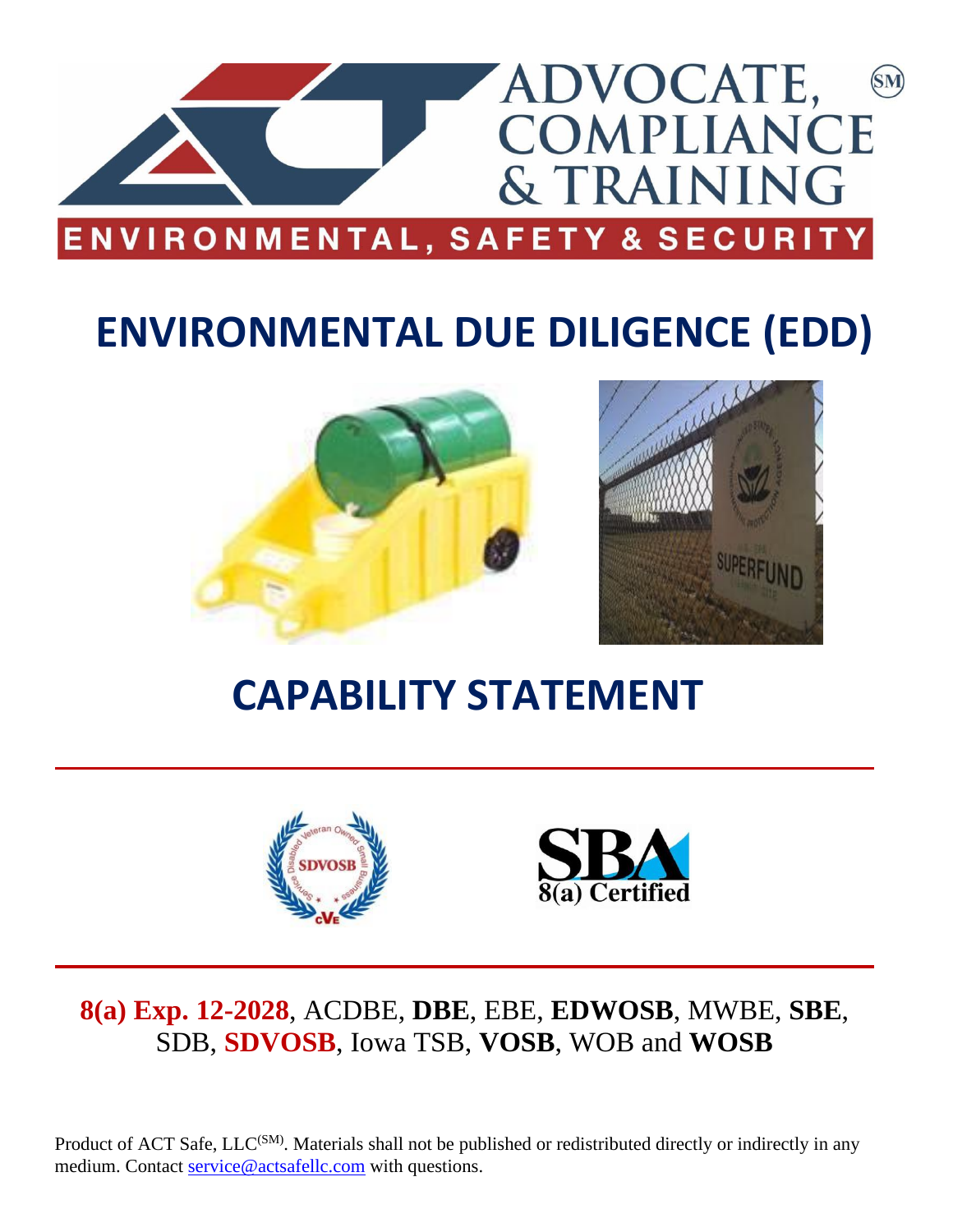

# **ENVIRONMENTAL DUE DILIGENCE (EDD)**



# **CAPABILITY STATEMENT**





## **8(a) Exp. 12-2028**, ACDBE, **DBE**, EBE, **EDWOSB**, MWBE, **SBE**, SDB, **SDVOSB**, Iowa TSB, **VOSB**, WOB and **WOSB**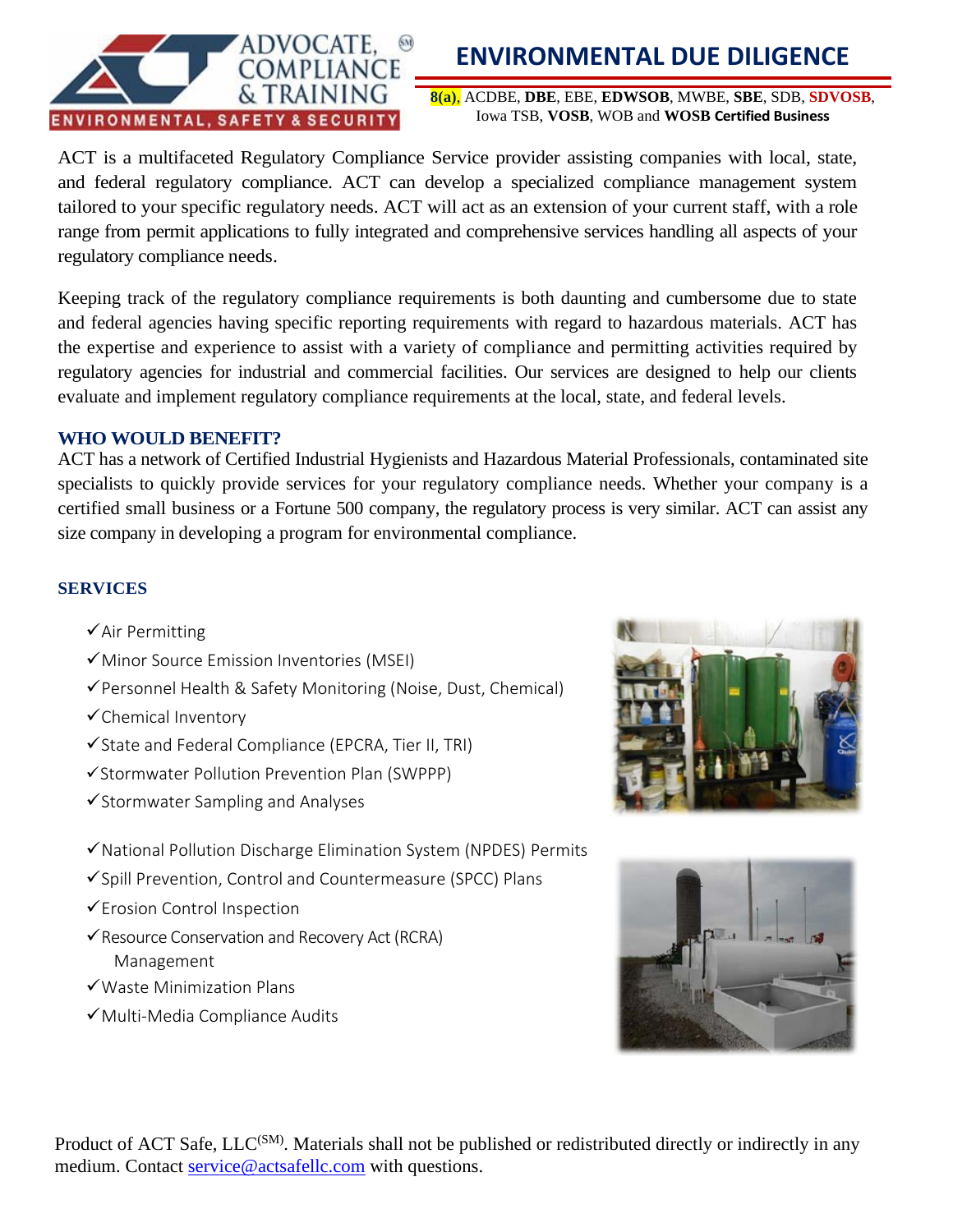

## **ENVIRONMENTAL DUE DILIGENCE**

**8(a)**, ACDBE, **DBE**, EBE, **EDWSOB**, MWBE, **SBE**, SDB, **SDVOSB**, Iowa TSB, **VOSB**, WOB and **WOSB Certified Business**

ACT is a multifaceted Regulatory Compliance Service provider assisting companies with local, state, and federal regulatory compliance. ACT can develop a specialized compliance management system tailored to your specific regulatory needs. ACT will act as an extension of your current staff, with a role range from permit applications to fully integrated and comprehensive services handling all aspects of your regulatory compliance needs.

Keeping track of the regulatory compliance requirements is both daunting and cumbersome due to state and federal agencies having specific reporting requirements with regard to hazardous materials. ACT has the expertise and experience to assist with a variety of compliance and permitting activities required by regulatory agencies for industrial and commercial facilities. Our services are designed to help our clients evaluate and implement regulatory compliance requirements at the local, state, and federal levels.

#### **WHO WOULD BENEFIT?**

ACT has a network of Certified Industrial Hygienists and Hazardous Material Professionals, contaminated site specialists to quickly provide services for your regulatory compliance needs. Whether your company is a certified small business or a Fortune 500 company, the regulatory process is very similar. ACT can assist any size company in developing a program for environmental compliance.

#### **SERVICES**

- $\checkmark$  Air Permitting
- ✓Minor Source Emission Inventories (MSEI)
- ✓Personnel Health & Safety Monitoring (Noise, Dust, Chemical)
- ✓Chemical Inventory
- ✓State and Federal Compliance (EPCRA, Tier II, TRI)
- ✓Stormwater Pollution Prevention Plan (SWPPP)
- ✓Stormwater Sampling and Analyses
- ✓National Pollution Discharge Elimination System (NPDES) Permits
- ✓Spill Prevention, Control and Countermeasure (SPCC) Plans
- ✓Erosion Control Inspection
- ✓Resource Conservation and Recovery Act (RCRA) Management
- ✓Waste Minimization Plans
- ✓Multi-Media Compliance Audits



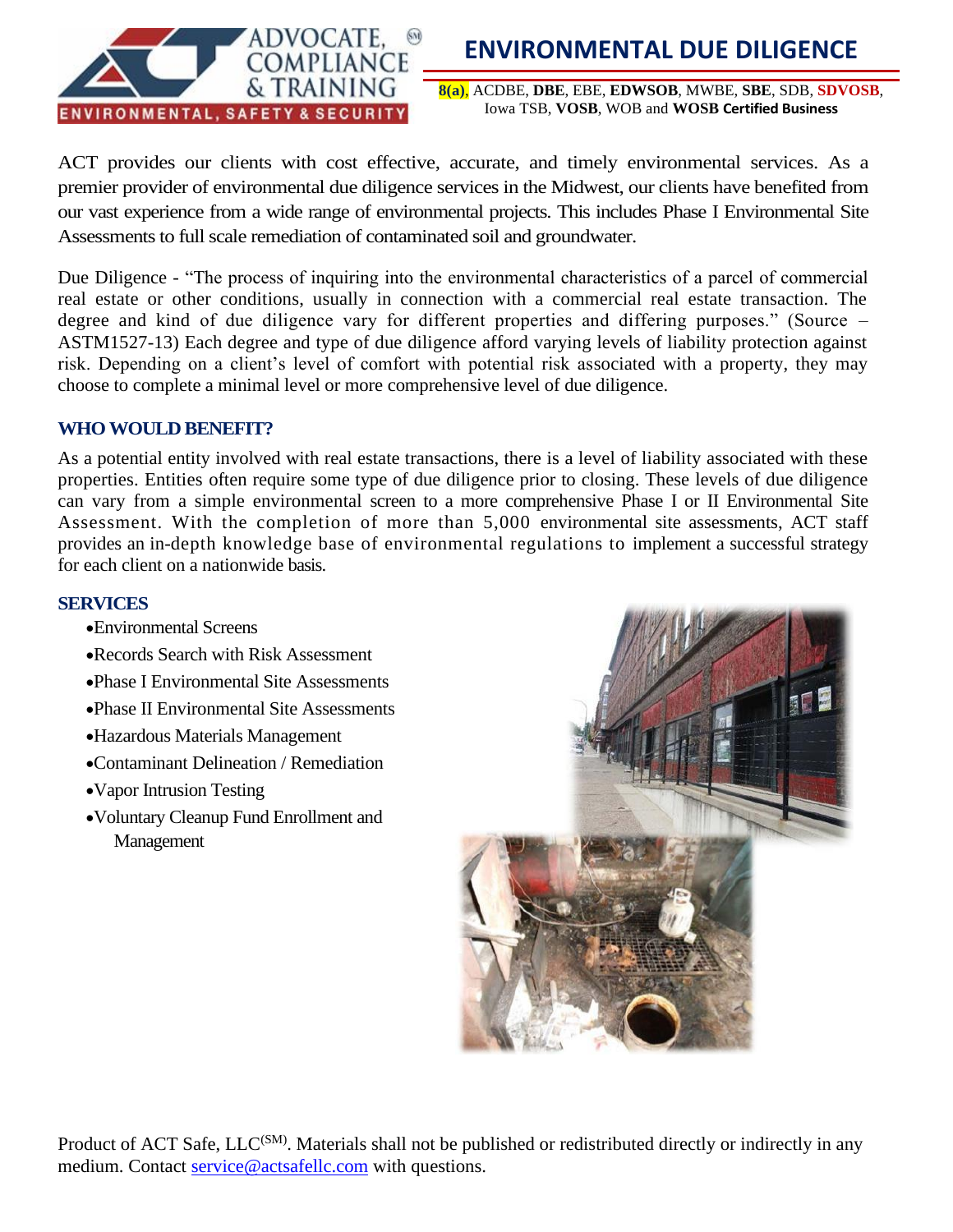

### **ENVIRONMENTAL DUE DILIGENCE**

**8(a)**, ACDBE, **DBE**, EBE, **EDWSOB**, MWBE, **SBE**, SDB, **SDVOSB**, Iowa TSB, **VOSB**, WOB and **WOSB Certified Business**

ACT provides our clients with cost effective, accurate, and timely environmental services. As a premier provider of environmental due diligence services in the Midwest, our clients have benefited from our vast experience from a wide range of environmental projects. This includes Phase I Environmental Site Assessments to full scale remediation of contaminated soil and groundwater.

Due Diligence - "The process of inquiring into the environmental characteristics of a parcel of commercial real estate or other conditions, usually in connection with a commercial real estate transaction. The degree and kind of due diligence vary for different properties and differing purposes." (Source – ASTM1527-13) Each degree and type of due diligence afford varying levels of liability protection against risk. Depending on a client's level of comfort with potential risk associated with a property, they may choose to complete a minimal level or more comprehensive level of due diligence.

#### **WHO WOULD BENEFIT?**

As a potential entity involved with real estate transactions, there is a level of liability associated with these properties. Entities often require some type of due diligence prior to closing. These levels of due diligence can vary from a simple environmental screen to a more comprehensive Phase I or II Environmental Site Assessment. With the completion of more than 5,000 environmental site assessments, ACT staff provides an in-depth knowledge base of environmental regulations to implement a successful strategy for each client on a nationwide basis.

#### **SERVICES**

- •Environmental Screens
- •Records Search with Risk Assessment
- •Phase I Environmental Site Assessments
- •Phase II Environmental Site Assessments
- •Hazardous Materials Management
- •Contaminant Delineation / Remediation
- •Vapor Intrusion Testing
- •Voluntary Cleanup Fund Enrollment and Management

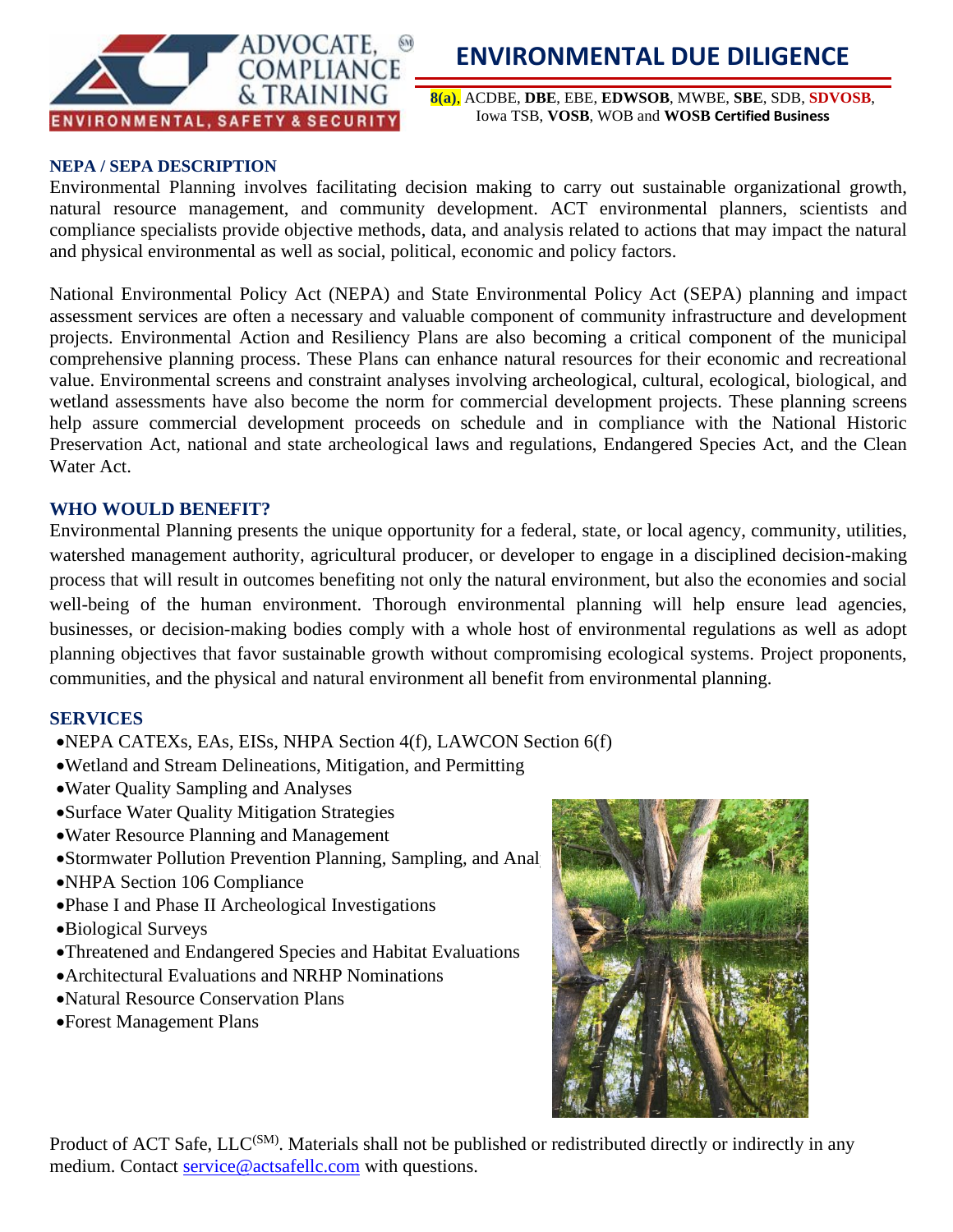

**8(a)**, ACDBE, **DBE**, EBE, **EDWSOB**, MWBE, **SBE**, SDB, **SDVOSB**, Iowa TSB, **VOSB**, WOB and **WOSB Certified Business**

#### **NEPA / SEPA DESCRIPTION**

Environmental Planning involves facilitating decision making to carry out sustainable organizational growth, natural resource management, and community development. ACT environmental planners, scientists and compliance specialists provide objective methods, data, and analysis related to actions that may impact the natural and physical environmental as well as social, political, economic and policy factors.

National Environmental Policy Act (NEPA) and State Environmental Policy Act (SEPA) planning and impact assessment services are often a necessary and valuable component of community infrastructure and development projects. Environmental Action and Resiliency Plans are also becoming a critical component of the municipal comprehensive planning process. These Plans can enhance natural resources for their economic and recreational value. Environmental screens and constraint analyses involving archeological, cultural, ecological, biological, and wetland assessments have also become the norm for commercial development projects. These planning screens help assure commercial development proceeds on schedule and in compliance with the National Historic Preservation Act, national and state archeological laws and regulations, Endangered Species Act, and the Clean Water Act.

#### **WHO WOULD BENEFIT?**

Environmental Planning presents the unique opportunity for a federal, state, or local agency, community, utilities, watershed management authority, agricultural producer, or developer to engage in a disciplined decision-making process that will result in outcomes benefiting not only the natural environment, but also the economies and social well-being of the human environment. Thorough environmental planning will help ensure lead agencies, businesses, or decision-making bodies comply with a whole host of environmental regulations as well as adopt planning objectives that favor sustainable growth without compromising ecological systems. Project proponents, communities, and the physical and natural environment all benefit from environmental planning.

#### **SERVICES**

- •NEPA CATEXs, EAs, EISs, NHPA Section 4(f), LAWCON Section 6(f)
- •Wetland and Stream Delineations, Mitigation, and Permitting
- •Water Quality Sampling and Analyses
- •Surface Water Quality Mitigation Strategies
- •Water Resource Planning and Management
- •Stormwater Pollution Prevention Planning, Sampling, and Analyses
- •NHPA Section 106 Compliance
- •Phase I and Phase II Archeological Investigations
- •Biological Surveys
- •Threatened and Endangered Species and Habitat Evaluations
- •Architectural Evaluations and NRHP Nominations
- •Natural Resource Conservation Plans
- •Forest Management Plans